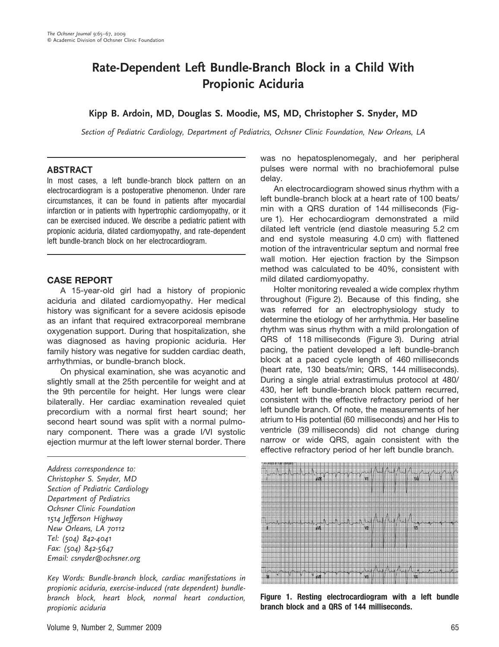# Rate-Dependent Left Bundle-Branch Block in a Child With Propionic Aciduria

## Kipp B. Ardoin, MD, Douglas S. Moodie, MS, MD, Christopher S. Snyder, MD

Section of Pediatric Cardiology, Department of Pediatrics, Ochsner Clinic Foundation, New Orleans, LA

#### ABSTRACT

In most cases, a left bundle-branch block pattern on an electrocardiogram is a postoperative phenomenon. Under rare circumstances, it can be found in patients after myocardial infarction or in patients with hypertrophic cardiomyopathy, or it can be exercised induced. We describe a pediatric patient with propionic aciduria, dilated cardiomyopathy, and rate-dependent left bundle-branch block on her electrocardiogram.

#### CASE REPORT

A 15-year-old girl had a history of propionic aciduria and dilated cardiomyopathy. Her medical history was significant for a severe acidosis episode as an infant that required extracorporeal membrane oxygenation support. During that hospitalization, she was diagnosed as having propionic aciduria. Her family history was negative for sudden cardiac death, arrhythmias, or bundle-branch block.

On physical examination, she was acyanotic and slightly small at the 25th percentile for weight and at the 9th percentile for height. Her lungs were clear bilaterally. Her cardiac examination revealed quiet precordium with a normal first heart sound; her second heart sound was split with a normal pulmonary component. There was a grade I/VI systolic ejection murmur at the left lower sternal border. There

Address correspondence to: Christopher S. Snyder, MD Section of Pediatric Cardiology Department of Pediatrics Ochsner Clinic Foundation 1514 Jefferson Highway New Orleans, LA 70112 Tel: (504) 842-4041 Fax: (504) 842-5647 Email: csnyder@ochsner.org

Key Words: Bundle-branch block, cardiac manifestations in propionic aciduria, exercise-induced (rate dependent) bundlebranch block, heart block, normal heart conduction, propionic aciduria

was no hepatosplenomegaly, and her peripheral pulses were normal with no brachiofemoral pulse delay.

An electrocardiogram showed sinus rhythm with a left bundle-branch block at a heart rate of 100 beats/ min with a QRS duration of 144 milliseconds (Figure 1). Her echocardiogram demonstrated a mild dilated left ventricle (end diastole measuring 5.2 cm and end systole measuring 4.0 cm) with flattened motion of the intraventricular septum and normal free wall motion. Her ejection fraction by the Simpson method was calculated to be 40%, consistent with mild dilated cardiomyopathy.

Holter monitoring revealed a wide complex rhythm throughout (Figure 2). Because of this finding, she was referred for an electrophysiology study to determine the etiology of her arrhythmia. Her baseline rhythm was sinus rhythm with a mild prolongation of QRS of 118 milliseconds (Figure 3). During atrial pacing, the patient developed a left bundle-branch block at a paced cycle length of 460 milliseconds (heart rate, 130 beats/min; QRS, 144 milliseconds). During a single atrial extrastimulus protocol at 480/ 430, her left bundle-branch block pattern recurred, consistent with the effective refractory period of her left bundle branch. Of note, the measurements of her atrium to His potential (60 milliseconds) and her His to ventricle (39 milliseconds) did not change during narrow or wide QRS, again consistent with the effective refractory period of her left bundle branch.



Figure 1. Resting electrocardiogram with a left bundle branch block and a QRS of 144 milliseconds.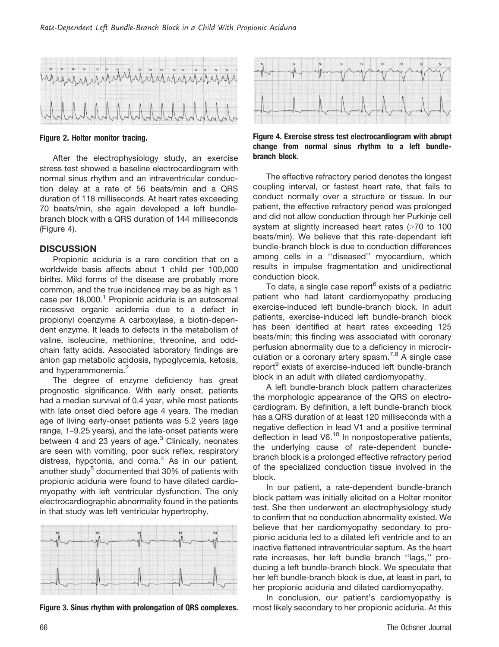

Figure 2. Holter monitor tracing.

After the electrophysiology study, an exercise stress test showed a baseline electrocardiogram with normal sinus rhythm and an intraventricular conduction delay at a rate of 56 beats/min and a QRS duration of 118 milliseconds. At heart rates exceeding 70 beats/min, she again developed a left bundlebranch block with a QRS duration of 144 milliseconds (Figure 4).

#### **DISCUSSION**

Propionic aciduria is a rare condition that on a worldwide basis affects about 1 child per 100,000 births. Mild forms of the disease are probably more common, and the true incidence may be as high as 1 case per  $18,000$ <sup>1</sup> Propionic aciduria is an autosomal recessive organic acidemia due to a defect in propionyl coenzyme A carboxylase, a biotin-dependent enzyme. It leads to defects in the metabolism of valine, isoleucine, methionine, threonine, and oddchain fatty acids. Associated laboratory findings are anion gap metabolic acidosis, hypoglycemia, ketosis, and hyperammonemia.<sup>2</sup>

The degree of enzyme deficiency has great prognostic significance. With early onset, patients had a median survival of 0.4 year, while most patients with late onset died before age 4 years. The median age of living early-onset patients was 5.2 years (age range, 1–9.25 years), and the late-onset patients were between 4 and 23 years of age. $3$  Clinically, neonates are seen with vomiting, poor suck reflex, respiratory distress, hypotonia, and coma. $4$  As in our patient, another study<sup>5</sup> documented that  $30\%$  of patients with propionic aciduria were found to have dilated cardiomyopathy with left ventricular dysfunction. The only electrocardiographic abnormality found in the patients in that study was left ventricular hypertrophy.



Figure 3. Sinus rhythm with prolongation of QRS complexes.



Figure 4. Exercise stress test electrocardiogram with abrupt change from normal sinus rhythm to a left bundlebranch block.

The effective refractory period denotes the longest coupling interval, or fastest heart rate, that fails to conduct normally over a structure or tissue. In our patient, the effective refractory period was prolonged and did not allow conduction through her Purkinje cell system at slightly increased heart rates  $($  >70 to 100 beats/min). We believe that this rate-dependant left bundle-branch block is due to conduction differences among cells in a ''diseased'' myocardium, which results in impulse fragmentation and unidirectional conduction block.

To date, a single case report<sup>6</sup> exists of a pediatric patient who had latent cardiomyopathy producing exercise-induced left bundle-branch block. In adult patients, exercise-induced left bundle-branch block has been identified at heart rates exceeding 125 beats/min; this finding was associated with coronary perfusion abnormality due to a deficiency in microcirculation or a coronary artery spasm.<sup>7,8</sup> A single case report<sup>9</sup> exists of exercise-induced left bundle-branch block in an adult with dilated cardiomyopathy.

A left bundle-branch block pattern characterizes the morphologic appearance of the QRS on electrocardiogram. By definition, a left bundle-branch block has a QRS duration of at least 120 milliseconds with a negative deflection in lead V1 and a positive terminal deflection in lead  $V6<sup>10</sup>$  In nonpostoperative patients, the underlying cause of rate-dependent bundlebranch block is a prolonged effective refractory period of the specialized conduction tissue involved in the block.

In our patient, a rate-dependent bundle-branch block pattern was initially elicited on a Holter monitor test. She then underwent an electrophysiology study to confirm that no conduction abnormality existed. We believe that her cardiomyopathy secondary to propionic aciduria led to a dilated left ventricle and to an inactive flattened intraventricular septum. As the heart rate increases, her left bundle branch ''lags,'' producing a left bundle-branch block. We speculate that her left bundle-branch block is due, at least in part, to her propionic aciduria and dilated cardiomyopathy.

In conclusion, our patient's cardiomyopathy is most likely secondary to her propionic aciduria. At this